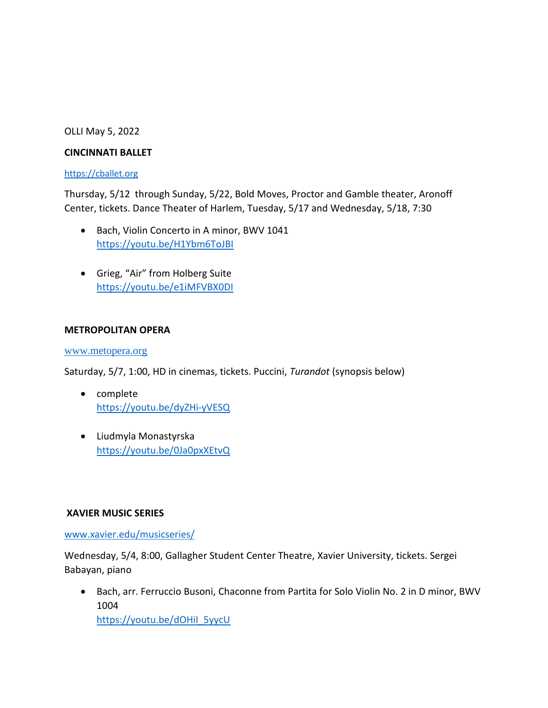### OLLI May 5, 2022

### **CINCINNATI BALLET**

### [https://cballet.org](https://cballet.org/)

Thursday, 5/12 through Sunday, 5/22, Bold Moves, Proctor and Gamble theater, Aronoff Center, tickets. Dance Theater of Harlem, Tuesday, 5/17 and Wednesday, 5/18, 7:30

- Bach, Violin Concerto in A minor, BWV 1041 <https://youtu.be/H1Ybm6ToJBI>
- Grieg, "Air" from Holberg Suite <https://youtu.be/e1iMFVBX0DI>

### **METROPOLITAN OPERA**

### [www.metopera.org](http://www.metopera.org/)

Saturday, 5/7, 1:00, HD in cinemas, tickets. Puccini, *Turandot* (synopsis below)

- complete <https://youtu.be/dyZHi-yVESQ>
- Liudmyla Monastyrska <https://youtu.be/0Ja0pxXEtvQ>

## **XAVIER MUSIC SERIES**

[www.xavier.edu/musicseries/](http://www.xavier.edu/musicseries/)

Wednesday, 5/4, 8:00, Gallagher Student Center Theatre, Xavier University, tickets. Sergei Babayan, piano

• Bach, arr. Ferruccio Busoni, Chaconne from Partita for Solo Violin No. 2 in D minor, BWV 1004 [https://youtu.be/dOHiI\\_5yycU](https://youtu.be/dOHiI_5yycU)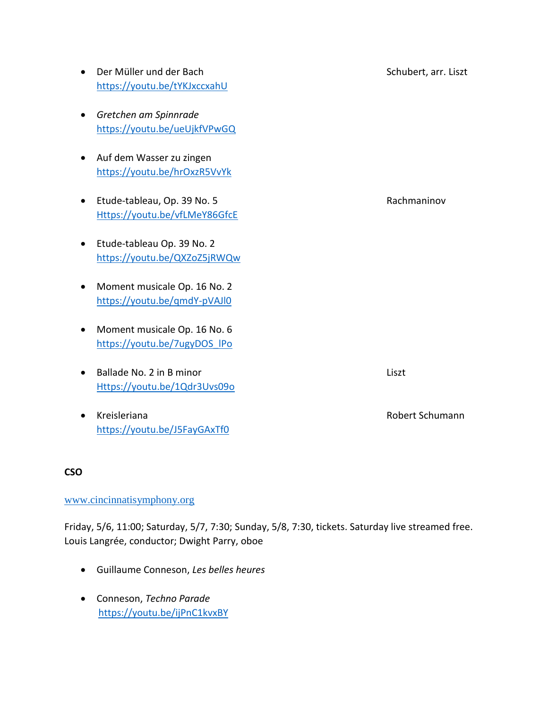|           | Der Müller und der Bach<br>https://youtu.be/tYKJxccxahU      | Schubert, arr. Liszt |
|-----------|--------------------------------------------------------------|----------------------|
| $\bullet$ | Gretchen am Spinnrade<br>https://youtu.be/ueUjkfVPwGQ        |                      |
| $\bullet$ | Auf dem Wasser zu zingen<br>https://youtu.be/hrOxzR5VvYk     |                      |
| $\bullet$ | Etude-tableau, Op. 39 No. 5<br>Https://youtu.be/vfLMeY86GfcE | Rachmaninov          |
| $\bullet$ | Etude-tableau Op. 39 No. 2<br>https://youtu.be/QXZoZ5jRWQw   |                      |
| $\bullet$ | Moment musicale Op. 16 No. 2<br>https://youtu.be/gmdY-pVAJI0 |                      |
| $\bullet$ | Moment musicale Op. 16 No. 6<br>https://youtu.be/7ugyDOS IPo |                      |
|           | Ballade No. 2 in B minor<br>Https://youtu.be/1Qdr3Uvs09o     | Liszt                |
|           | Kreisleriana<br>https://youtu.be/J5FayGAxTf0                 | Robert Schumann      |

## **CSO**

## [www.cincinnatisymphony.org](http://www.cincinnatisymphony.org/)

Friday, 5/6, 11:00; Saturday, 5/7, 7:30; Sunday, 5/8, 7:30, tickets. Saturday live streamed free. Louis Langrée, conductor; Dwight Parry, oboe

- Guillaume Conneson, *Les belles heures*
- Conneson, *Techno Parade* <https://youtu.be/ijPnC1kvxBY>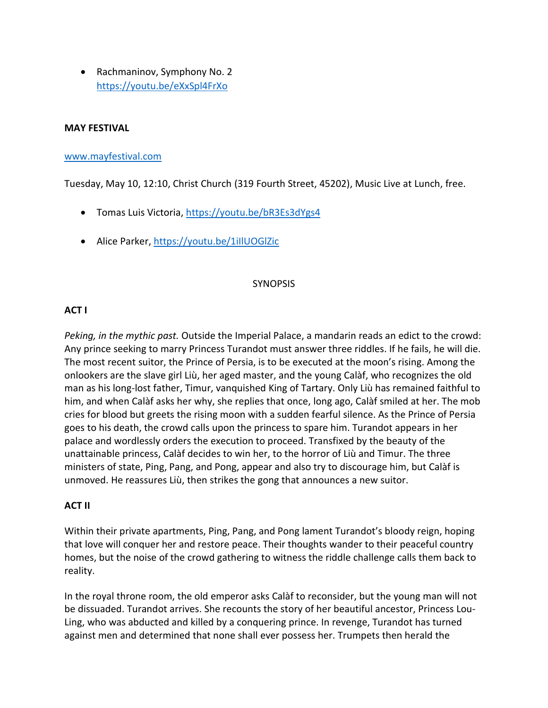• Rachmaninov, Symphony No. 2 <https://youtu.be/eXxSpl4FrXo>

### **MAY FESTIVAL**

#### [www.mayfestival.com](http://www.mayfestival.com/)

Tuesday, May 10, 12:10, Christ Church (319 Fourth Street, 45202), Music Live at Lunch, free.

- Tomas Luis Victoria,<https://youtu.be/bR3Es3dYgs4>
- Alice Parker[, https://youtu.be/1iIlUOGlZic](https://youtu.be/1iIlUOGlZic)

#### **SYNOPSIS**

### **ACT I**

*Peking, in the mythic past.* Outside the Imperial Palace, a mandarin reads an edict to the crowd: Any prince seeking to marry Princess Turandot must answer three riddles. If he fails, he will die. The most recent suitor, the Prince of Persia, is to be executed at the moon's rising. Among the onlookers are the slave girl Liù, her aged master, and the young Calàf, who recognizes the old man as his long-lost father, Timur, vanquished King of Tartary. Only Liù has remained faithful to him, and when Calàf asks her why, she replies that once, long ago, Calàf smiled at her. The mob cries for blood but greets the rising moon with a sudden fearful silence. As the Prince of Persia goes to his death, the crowd calls upon the princess to spare him. Turandot appears in her palace and wordlessly orders the execution to proceed. Transfixed by the beauty of the unattainable princess, Calàf decides to win her, to the horror of Liù and Timur. The three ministers of state, Ping, Pang, and Pong, appear and also try to discourage him, but Calàf is unmoved. He reassures Liù, then strikes the gong that announces a new suitor.

#### **ACT II**

Within their private apartments, Ping, Pang, and Pong lament Turandot's bloody reign, hoping that love will conquer her and restore peace. Their thoughts wander to their peaceful country homes, but the noise of the crowd gathering to witness the riddle challenge calls them back to reality.

In the royal throne room, the old emperor asks Calàf to reconsider, but the young man will not be dissuaded. Turandot arrives. She recounts the story of her beautiful ancestor, Princess Lou-Ling, who was abducted and killed by a conquering prince. In revenge, Turandot has turned against men and determined that none shall ever possess her. Trumpets then herald the